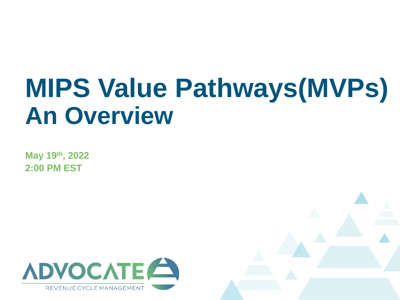## **MIPS Value Pathways(MVPs) An Overview**

**May 19th, 2022 2:00 PM EST**

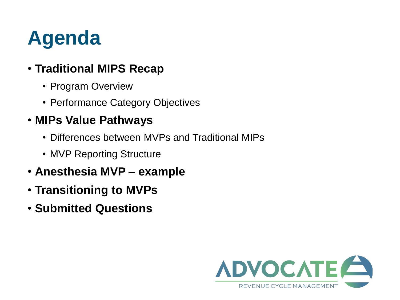## **Agenda**

### • **Traditional MIPS Recap**

- Program Overview
- Performance Category Objectives

### • **MIPs Value Pathways**

- Differences between MVPs and Traditional MIPs
- MVP Reporting Structure
- **Anesthesia MVP – example**
- **Transitioning to MVPs**
- **Submitted Questions**

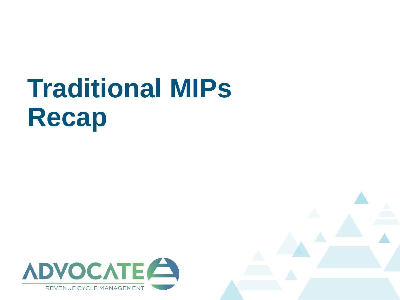## **Traditional MIPs Recap**



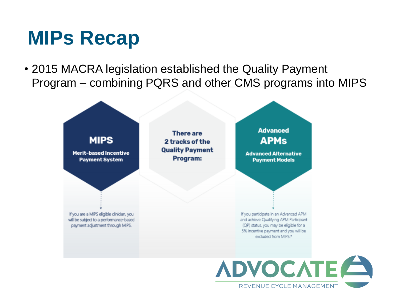• 2015 MACRA legislation established the Quality Payment Program – combining PQRS and other CMS programs into MIPS



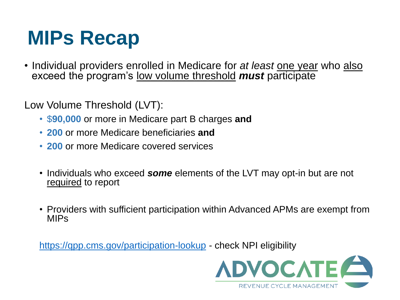• Individual providers enrolled in Medicare for *at least* one year who also exceed the program's low volume threshold *must* participate

Low Volume Threshold (LVT):

- \$**90,000** or more in Medicare part B charges **and**
- **200** or more Medicare beneficiaries **and**
- **200** or more Medicare covered services
- Individuals who exceed *some* elements of the LVT may opt-in but are not required to report
- Providers with sufficient participation within Advanced APMs are exempt from MIPs

<https://qpp.cms.gov/participation-lookup> - check NPI eligibility

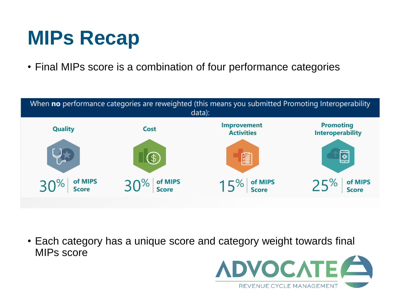• Final MIPs score is a combination of four performance categories



• Each category has a unique score and category weight towards final MIPs score

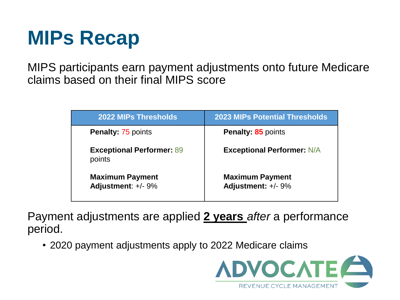MIPS participants earn payment adjustments onto future Medicare claims based on their final MIPS score

| <b>2022 MIPs Thresholds</b>                  | <b>2023 MIPs Potential Thresholds</b>        |
|----------------------------------------------|----------------------------------------------|
| <b>Penalty: 75 points</b>                    | <b>Penalty: 85 points</b>                    |
| <b>Exceptional Performer: 89</b><br>points   | <b>Exceptional Performer: N/A</b>            |
| <b>Maximum Payment</b><br>Adjustment: +/- 9% | <b>Maximum Payment</b><br>Adjustment: +/- 9% |

Payment adjustments are applied **2 years** *after* a performance period.

• 2020 payment adjustments apply to 2022 Medicare claims

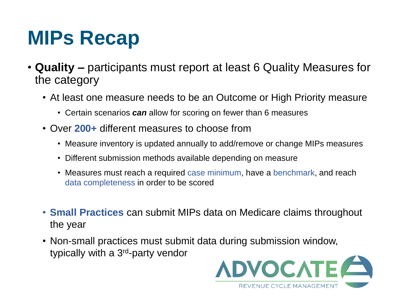- **Quality –** participants must report at least 6 Quality Measures for the category
	- At least one measure needs to be an Outcome or High Priority measure
		- Certain scenarios *can* allow for scoring on fewer than 6 measures
	- Over **200+** different measures to choose from
		- Measure inventory is updated annually to add/remove or change MIPs measures
		- Different submission methods available depending on measure
		- Measures must reach a required case minimum, have a benchmark, and reach data completeness in order to be scored
	- **Small Practices** can submit MIPs data on Medicare claims throughout the year
	- Non-small practices must submit data during submission window, typically with a 3rd-party vendor

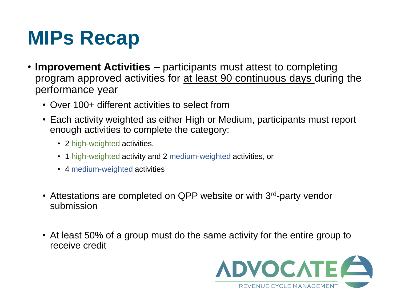- **Improvement Activities –** participants must attest to completing program approved activities for at least 90 continuous days during the performance year
	- Over 100+ different activities to select from
	- Each activity weighted as either High or Medium, participants must report enough activities to complete the category:
		- 2 high-weighted activities,
		- 1 high-weighted activity and 2 medium-weighted activities, or
		- 4 medium-weighted activities
	- Attestations are completed on QPP website or with 3<sup>rd</sup>-party vendor submission
	- At least 50% of a group must do the same activity for the entire group to receive credit

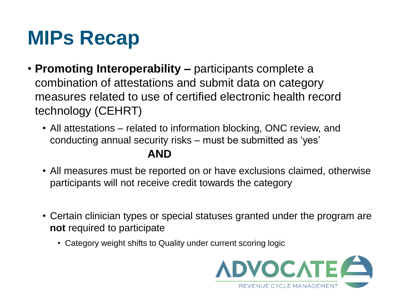- **Promoting Interoperability –** participants complete a combination of attestations and submit data on category measures related to use of certified electronic health record technology (CEHRT)
	- All attestations related to information blocking, ONC review, and conducting annual security risks – must be submitted as 'yes'

#### **AND**

- All measures must be reported on or have exclusions claimed, otherwise participants will not receive credit towards the category
- Certain clinician types or special statuses granted under the program are **not** required to participate
	- Category weight shifts to Quality under current scoring logic

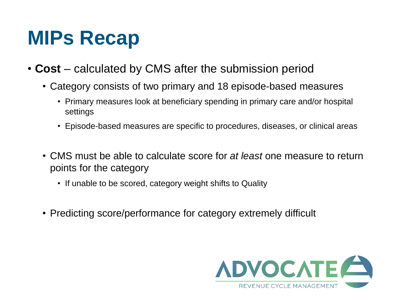- **Cost** calculated by CMS after the submission period
	- Category consists of two primary and 18 episode-based measures
		- Primary measures look at beneficiary spending in primary care and/or hospital settings
		- Episode-based measures are specific to procedures, diseases, or clinical areas
	- CMS must be able to calculate score for *at least* one measure to return points for the category
		- If unable to be scored, category weight shifts to Quality
	- Predicting score/performance for category extremely difficult

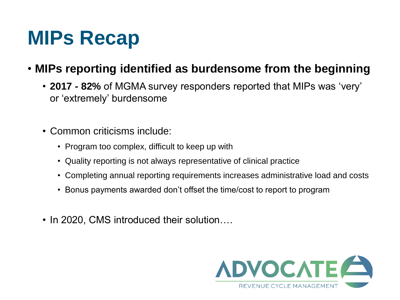#### • **MIPs reporting identified as burdensome from the beginning**

- **2017 - 82%** of MGMA survey responders reported that MIPs was 'very' or 'extremely' burdensome
- Common criticisms include:
	- Program too complex, difficult to keep up with
	- Quality reporting is not always representative of clinical practice
	- Completing annual reporting requirements increases administrative load and costs
	- Bonus payments awarded don't offset the time/cost to report to program
- In 2020, CMS introduced their solution....

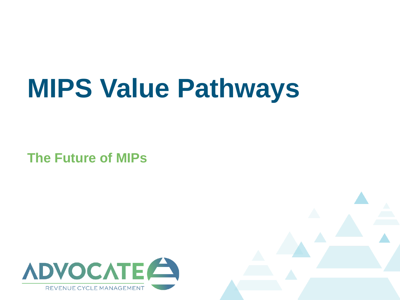# **MIPS Value Pathways**

**The Future of MIPs**



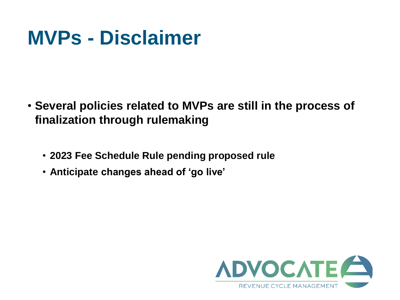### **MVPs - Disclaimer**

- **Several policies related to MVPs are still in the process of finalization through rulemaking** 
	- **2023 Fee Schedule Rule pending proposed rule**
	- **Anticipate changes ahead of 'go live'**

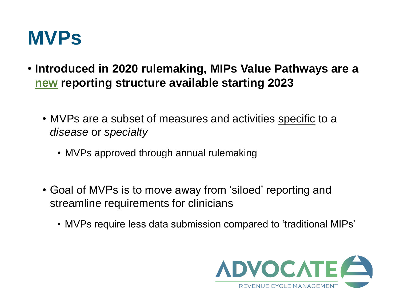

- **Introduced in 2020 rulemaking, MIPs Value Pathways are a new reporting structure available starting 2023**
	- MVPs are a subset of measures and activities specific to a *disease* or *specialty*
		- MVPs approved through annual rulemaking
	- Goal of MVPs is to move away from 'siloed' reporting and streamline requirements for clinicians
		- MVPs require less data submission compared to 'traditional MIPs'

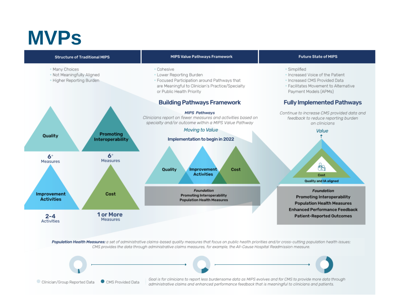

Population Health Measures: a set of administrative claims-based quality measures that focus on public health priorities and/or cross-cutting population health issues; CMS provides the data through administrative claims measures, for example, the All-Cause Hospital Readmission measure.

Clinician/Group Reported Data CMS Provided Data Goal is for clinicians to report less burdensome data as MIPS evolves and for CMS to provide more data through administrative claims and enhanced performance feedback that is meaningful to clinicians and patients.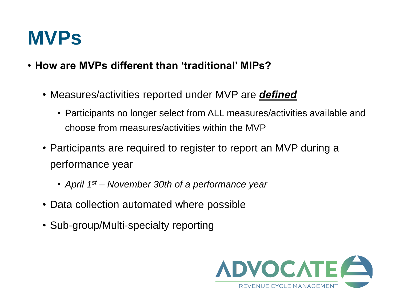- **How are MVPs different than 'traditional' MIPs?**
	- Measures/activities reported under MVP are *defined*
		- Participants no longer select from ALL measures/activities available and choose from measures/activities within the MVP
	- Participants are required to register to report an MVP during a performance year
		- *April 1st – November 30th of a performance year*
	- Data collection automated where possible
	- Sub-group/Multi-specialty reporting

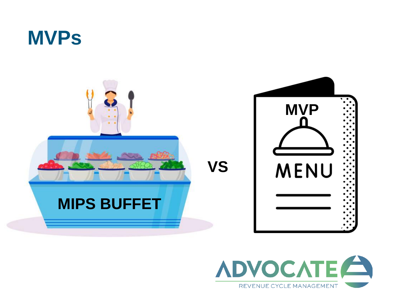



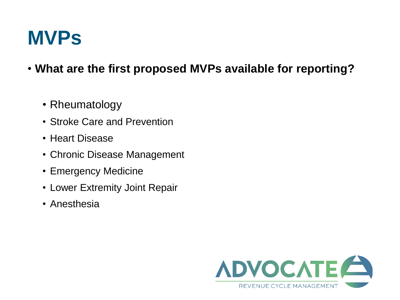- **What are the first proposed MVPs available for reporting?**
	- Rheumatology
	- Stroke Care and Prevention
	- Heart Disease
	- Chronic Disease Management
	- Emergency Medicine
	- Lower Extremity Joint Repair
	- Anesthesia

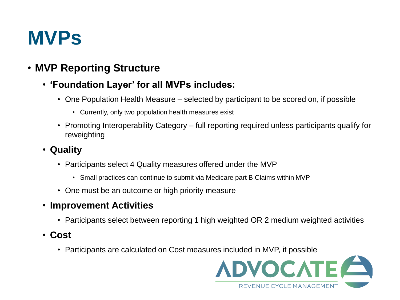#### • **MVP Reporting Structure**

#### • **'Foundation Layer' for all MVPs includes:**

- One Population Health Measure selected by participant to be scored on, if possible
	- Currently, only two population health measures exist
- Promoting Interoperability Category full reporting required unless participants qualify for reweighting
- **Quality**
	- Participants select 4 Quality measures offered under the MVP
		- Small practices can continue to submit via Medicare part B Claims within MVP
	- One must be an outcome or high priority measure
- **Improvement Activities** 
	- Participants select between reporting 1 high weighted OR 2 medium weighted activities
- **Cost**
	- Participants are calculated on Cost measures included in MVP, if possible

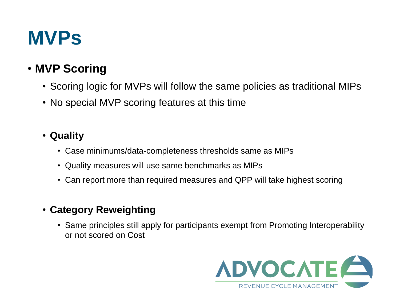#### • **MVP Scoring**

- Scoring logic for MVPs will follow the same policies as traditional MIPs
- No special MVP scoring features at this time

#### • **Quality**

- Case minimums/data-completeness thresholds same as MIPs
- Quality measures will use same benchmarks as MIPs
- Can report more than required measures and QPP will take highest scoring
- **Category Reweighting**
	- Same principles still apply for participants exempt from Promoting Interoperability or not scored on Cost

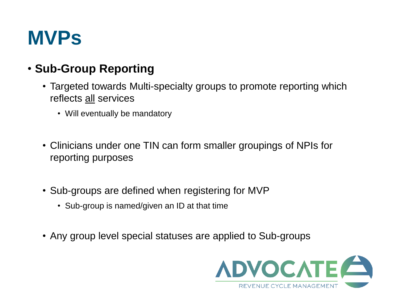#### • **Sub-Group Reporting**

- Targeted towards Multi-specialty groups to promote reporting which reflects all services
	- Will eventually be mandatory
- Clinicians under one TIN can form smaller groupings of NPIs for reporting purposes
- Sub-groups are defined when registering for MVP
	- Sub-group is named/given an ID at that time
- Any group level special statuses are applied to Sub-groups

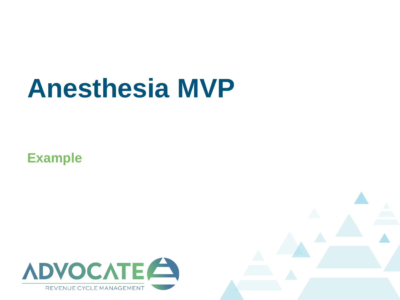**Example**



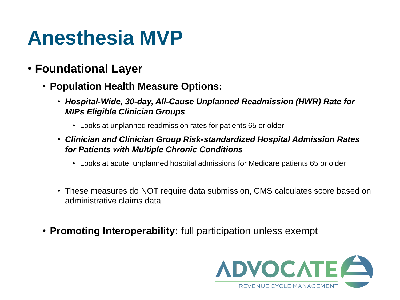- **Foundational Layer**
	- **Population Health Measure Options:**
		- *Hospital-Wide, 30-day, All-Cause Unplanned Readmission (HWR) Rate for MIPs Eligible Clinician Groups*
			- Looks at unplanned readmission rates for patients 65 or older
		- *Clinician and Clinician Group Risk-standardized Hospital Admission Rates for Patients with Multiple Chronic Conditions* 
			- Looks at acute, unplanned hospital admissions for Medicare patients 65 or older
		- These measures do NOT require data submission, CMS calculates score based on administrative claims data
	- **Promoting Interoperability:** full participation unless exempt

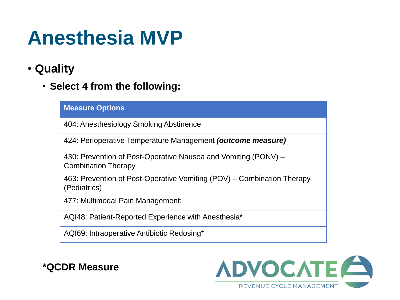- **Quality**
	- **Select 4 from the following:**

#### **Measure Options**

404: Anesthesiology Smoking Abstinence

424: Perioperative Temperature Management *(outcome measure)*

430: Prevention of Post-Operative Nausea and Vomiting (PONV) – Combination Therapy

463: Prevention of Post-Operative Vomiting (POV) – Combination Therapy (Pediatrics)

477: Multimodal Pain Management:

AQI48: Patient-Reported Experience with Anesthesia\*

AQI69: Intraoperative Antibiotic Redosing\*

**\*QCDR Measure**

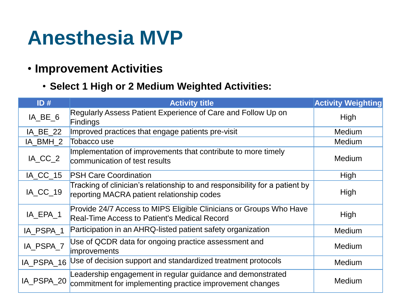#### • **Improvement Activities**

• **Select 1 High or 2 Medium Weighted Activities:**

| ID#        | <b>Activity title</b>                                                                                                     | <b>Activity Weighting</b> |
|------------|---------------------------------------------------------------------------------------------------------------------------|---------------------------|
| IA_BE_6    | Regularly Assess Patient Experience of Care and Follow Up on<br><b>Findings</b>                                           | High                      |
| IA_BE_22   | Improved practices that engage patients pre-visit                                                                         | <b>Medium</b>             |
| IA BMH 2   | Tobacco use                                                                                                               | Medium                    |
| IA CC 2    | Implementation of improvements that contribute to more timely<br>communication of test results                            | Medium                    |
| IA CC 15   | <b>PSH Care Coordination</b>                                                                                              | <b>High</b>               |
| IA_CC_19   | Tracking of clinician's relationship to and responsibility for a patient by<br>reporting MACRA patient relationship codes | High                      |
| IA_EPA_1   | Provide 24/7 Access to MIPS Eligible Clinicians or Groups Who Have<br><b>Real-Time Access to Patient's Medical Record</b> | High                      |
| IA PSPA 1  | Participation in an AHRQ-listed patient safety organization                                                               | Medium                    |
| IA_PSPA_7  | Use of QCDR data for ongoing practice assessment and<br>improvements                                                      | Medium                    |
| IA PSPA 16 | Use of decision support and standardized treatment protocols                                                              | Medium                    |
| IA_PSPA_20 | Leadership engagement in regular guidance and demonstrated<br>commitment for implementing practice improvement changes    | Medium                    |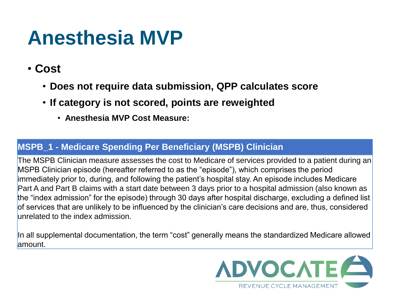- **Cost**
	- **Does not require data submission, QPP calculates score**
	- **If category is not scored, points are reweighted**
		- **Anesthesia MVP Cost Measure:**

#### **MSPB\_1 - Medicare Spending Per Beneficiary (MSPB) Clinician**

The MSPB Clinician measure assesses the cost to Medicare of services provided to a patient during an MSPB Clinician episode (hereafter referred to as the "episode"), which comprises the period immediately prior to, during, and following the patient's hospital stay. An episode includes Medicare Part A and Part B claims with a start date between 3 days prior to a hospital admission (also known as the "index admission" for the episode) through 30 days after hospital discharge, excluding a defined list of services that are unlikely to be influenced by the clinician's care decisions and are, thus, considered unrelated to the index admission.

In all supplemental documentation, the term "cost" generally means the standardized Medicare allowed amount.

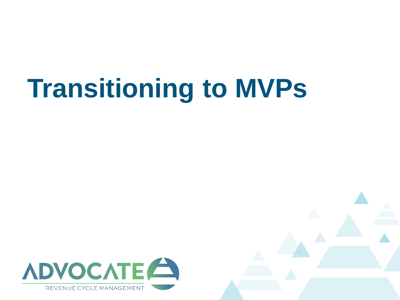# **Transitioning to MVPs**



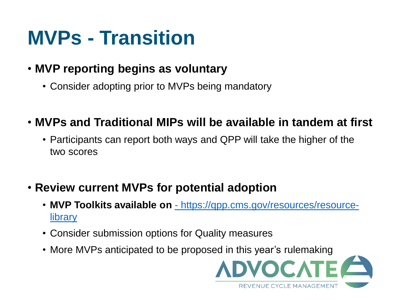## **MVPs - Transition**

#### • **MVP reporting begins as voluntary**

• Consider adopting prior to MVPs being mandatory

#### • **MVPs and Traditional MIPs will be available in tandem at first**

• Participants can report both ways and QPP will take the higher of the two scores

#### • **Review current MVPs for potential adoption**

- **MVP Toolkits available on** [https://qpp.cms.gov/resources/resource](https://qpp.cms.gov/resources/resource-library)**library**
- Consider submission options for Quality measures
- More MVPs anticipated to be proposed in this year's rulemaking

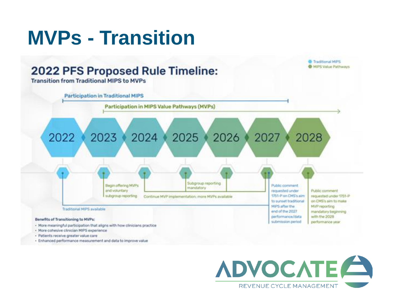#### **MVPs - Transition**  Traditional MIPS **B** MIPS Value Pathways **2022 PFS Proposed Rule Timeline: Transition from Traditional MIPS to MVPs Participation in Traditional MIPS** Participation in MIPS Value Pathways (MVPs) 2022 2023 2024 2025 2027 2026 2028 Subgroup reporting Begin offering MVPs Public comment mandatory and voluntary requested under Public comment 1751-P on CMS's aim subgroup reporting requested under 1751-P Continue MVP implementation: more MVPs available to sunset traditional on CMS's aim to make MIPS after the MVP reporting Traditional HIPS available end of the 2027 mandatory beginning performance/data with the 2028 Benefits of Transitioning to MVPs: submission period performance year. - More meaningful participation that aligns with how clinicians practice - More cohesive clinician MIPS experience

- Patients receive greater value care
- · Enhanced performance measurement and data to improve value

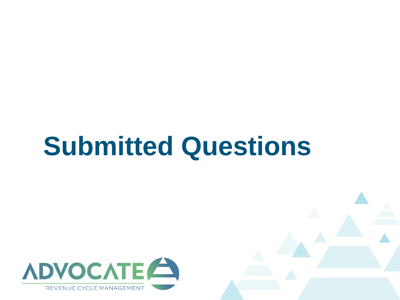## **Submitted Questions**